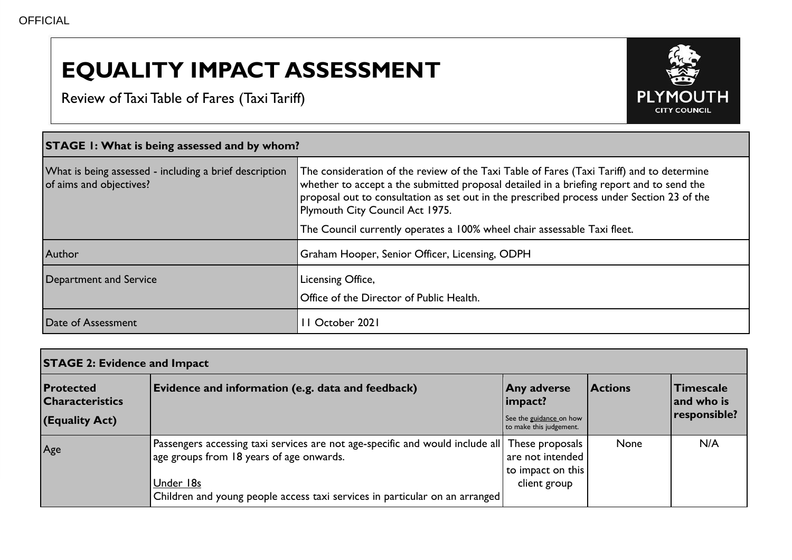## **EQUALITY IMPACT ASSESSMENT**

Review of Taxi Table of Fares (Taxi Tariff)



| <b>STAGE 1: What is being assessed and by whom?</b>                               |                                                                                                                                                                                                                                                                                                                                                                                                   |  |  |  |
|-----------------------------------------------------------------------------------|---------------------------------------------------------------------------------------------------------------------------------------------------------------------------------------------------------------------------------------------------------------------------------------------------------------------------------------------------------------------------------------------------|--|--|--|
| What is being assessed - including a brief description<br>of aims and objectives? | The consideration of the review of the Taxi Table of Fares (Taxi Tariff) and to determine<br>whether to accept a the submitted proposal detailed in a briefing report and to send the<br>proposal out to consultation as set out in the prescribed process under Section 23 of the<br>Plymouth City Council Act 1975.<br>The Council currently operates a 100% wheel chair assessable Taxi fleet. |  |  |  |
|                                                                                   |                                                                                                                                                                                                                                                                                                                                                                                                   |  |  |  |
| Author                                                                            | Graham Hooper, Senior Officer, Licensing, ODPH                                                                                                                                                                                                                                                                                                                                                    |  |  |  |
| Department and Service                                                            | Licensing Office,<br>Office of the Director of Public Health.                                                                                                                                                                                                                                                                                                                                     |  |  |  |
| Date of Assessment                                                                | 1 October 2021                                                                                                                                                                                                                                                                                                                                                                                    |  |  |  |

| <b>STAGE 2: Evidence and Impact</b>        |                                                                                                                                                                                                                         |                                                                          |                |                                |
|--------------------------------------------|-------------------------------------------------------------------------------------------------------------------------------------------------------------------------------------------------------------------------|--------------------------------------------------------------------------|----------------|--------------------------------|
| <b>Protected</b><br><b>Characteristics</b> | Evidence and information (e.g. data and feedback)                                                                                                                                                                       | <b>Any adverse</b><br>impact?                                            | <b>Actions</b> | <b>Timescale</b><br>and who is |
| (Equality Act)                             |                                                                                                                                                                                                                         | See the guidance on how<br>to make this judgement.                       |                | responsible?                   |
| Age                                        | Passengers accessing taxi services are not age-specific and would include all  <br>age groups from 18 years of age onwards.<br>Under 18s<br>Children and young people access taxi services in particular on an arranged | These proposals<br>are not intended<br>to impact on this<br>client group | None           | N/A                            |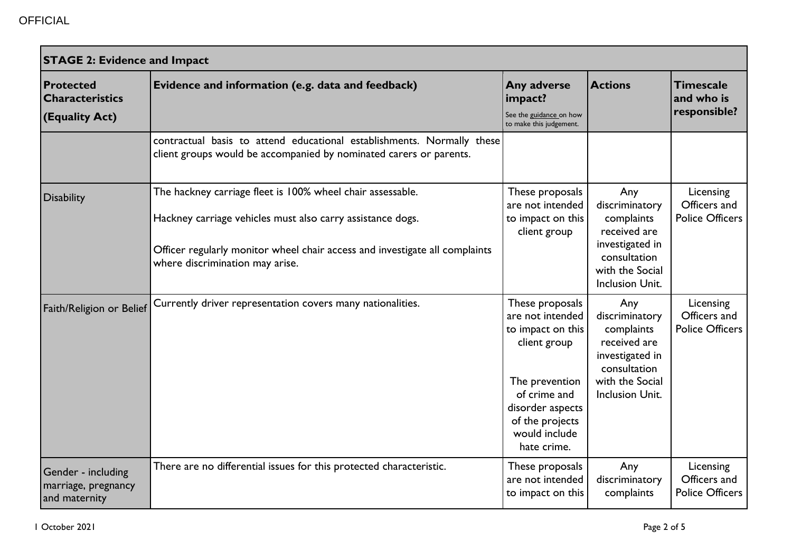| <b>STAGE 2: Evidence and Impact</b>                          |                                                                                                                                                                                                                                            |                                                                                                                                                                                   |                                                                                                                              |                                                     |
|--------------------------------------------------------------|--------------------------------------------------------------------------------------------------------------------------------------------------------------------------------------------------------------------------------------------|-----------------------------------------------------------------------------------------------------------------------------------------------------------------------------------|------------------------------------------------------------------------------------------------------------------------------|-----------------------------------------------------|
| <b>Protected</b><br><b>Characteristics</b><br>(Equality Act) | Evidence and information (e.g. data and feedback)                                                                                                                                                                                          | Any adverse<br>impact?<br>See the guidance on how<br>to make this judgement.                                                                                                      | <b>Actions</b>                                                                                                               | <b>Timescale</b><br>and who is<br>responsible?      |
|                                                              | contractual basis to attend educational establishments. Normally these<br>client groups would be accompanied by nominated carers or parents.                                                                                               |                                                                                                                                                                                   |                                                                                                                              |                                                     |
| <b>Disability</b>                                            | The hackney carriage fleet is 100% wheel chair assessable.<br>Hackney carriage vehicles must also carry assistance dogs.<br>Officer regularly monitor wheel chair access and investigate all complaints<br>where discrimination may arise. | These proposals<br>are not intended<br>to impact on this<br>client group                                                                                                          | Any<br>discriminatory<br>complaints<br>received are<br>investigated in<br>consultation<br>with the Social<br>Inclusion Unit. | Licensing<br>Officers and<br><b>Police Officers</b> |
| Faith/Religion or Belief                                     | Currently driver representation covers many nationalities.                                                                                                                                                                                 | These proposals<br>are not intended<br>to impact on this<br>client group<br>The prevention<br>of crime and<br>disorder aspects<br>of the projects<br>would include<br>hate crime. | Any<br>discriminatory<br>complaints<br>received are<br>investigated in<br>consultation<br>with the Social<br>Inclusion Unit. | Licensing<br>Officers and<br><b>Police Officers</b> |
| Gender - including<br>marriage, pregnancy<br>and maternity   | There are no differential issues for this protected characteristic.                                                                                                                                                                        | These proposals<br>are not intended<br>to impact on this                                                                                                                          | Any<br>discriminatory<br>complaints                                                                                          | Licensing<br>Officers and<br><b>Police Officers</b> |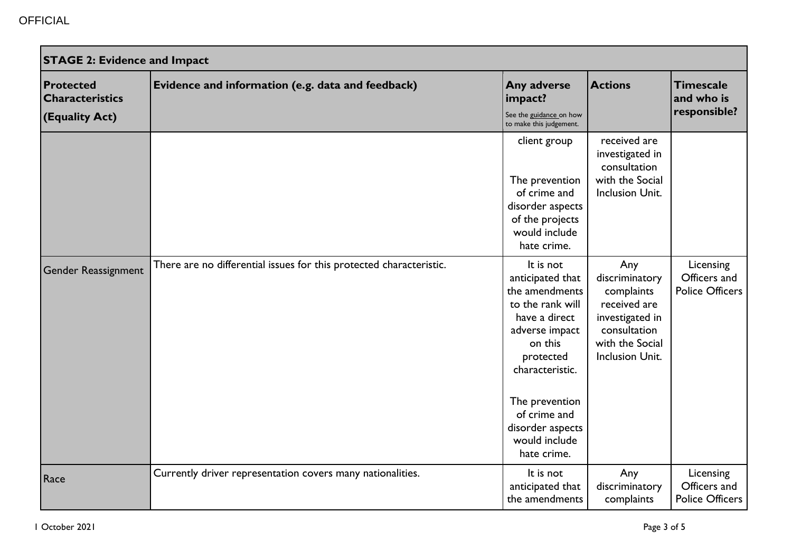| <b>STAGE 2: Evidence and Impact</b>                          |                                                                     |                                                                                                                                                                                                                                         |                                                                                                                                     |                                                     |
|--------------------------------------------------------------|---------------------------------------------------------------------|-----------------------------------------------------------------------------------------------------------------------------------------------------------------------------------------------------------------------------------------|-------------------------------------------------------------------------------------------------------------------------------------|-----------------------------------------------------|
| <b>Protected</b><br><b>Characteristics</b><br>(Equality Act) | Evidence and information (e.g. data and feedback)                   | Any adverse<br>impact?<br>See the guidance on how<br>to make this judgement.                                                                                                                                                            | <b>Actions</b>                                                                                                                      | <b>Timescale</b><br>and who is<br>responsible?      |
|                                                              |                                                                     | client group<br>The prevention<br>of crime and<br>disorder aspects<br>of the projects<br>would include<br>hate crime.                                                                                                                   | received are<br>investigated in<br>consultation<br>with the Social<br>Inclusion Unit.                                               |                                                     |
| <b>Gender Reassignment</b>                                   | There are no differential issues for this protected characteristic. | It is not<br>anticipated that<br>the amendments<br>to the rank will<br>have a direct<br>adverse impact<br>on this<br>protected<br>characteristic.<br>The prevention<br>of crime and<br>disorder aspects<br>would include<br>hate crime. | Any<br>discriminatory<br>complaints<br>received are<br>investigated in<br>consultation<br>with the Social<br><b>Inclusion Unit.</b> | Licensing<br>Officers and<br><b>Police Officers</b> |
| Race                                                         | Currently driver representation covers many nationalities.          | It is not<br>anticipated that<br>the amendments                                                                                                                                                                                         | Any<br>discriminatory<br>complaints                                                                                                 | Licensing<br>Officers and<br><b>Police Officers</b> |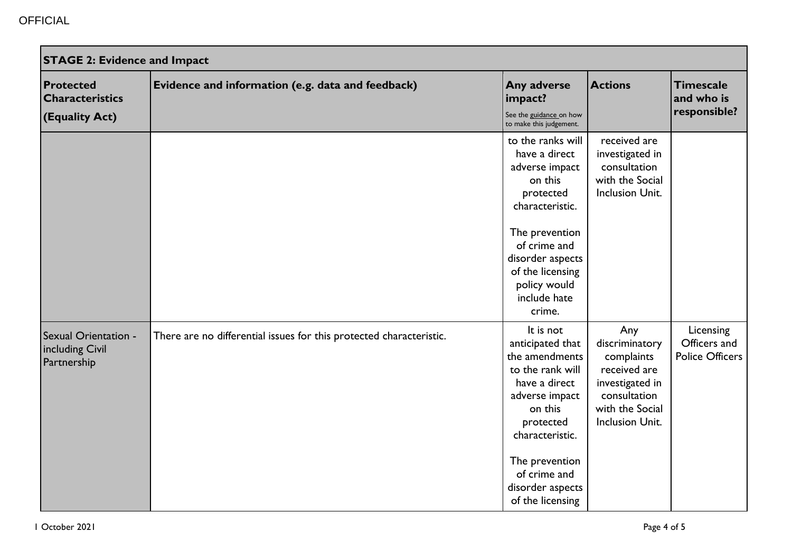| <b>STAGE 2: Evidence and Impact</b>                          |                                                                     |                                                                                                                                                                                                                             |                                                                                                                              |                                                     |
|--------------------------------------------------------------|---------------------------------------------------------------------|-----------------------------------------------------------------------------------------------------------------------------------------------------------------------------------------------------------------------------|------------------------------------------------------------------------------------------------------------------------------|-----------------------------------------------------|
| <b>Protected</b><br><b>Characteristics</b><br>(Equality Act) | Evidence and information (e.g. data and feedback)                   | Any adverse<br>impact?<br>See the guidance on how<br>to make this judgement.                                                                                                                                                | <b>Actions</b>                                                                                                               | <b>Timescale</b><br>and who is<br>responsible?      |
|                                                              |                                                                     | to the ranks will<br>have a direct<br>adverse impact<br>on this<br>protected<br>characteristic.<br>The prevention<br>of crime and<br>disorder aspects<br>of the licensing<br>policy would<br>include hate<br>crime.         | received are<br>investigated in<br>consultation<br>with the Social<br>Inclusion Unit.                                        |                                                     |
| Sexual Orientation -<br>including Civil<br>Partnership       | There are no differential issues for this protected characteristic. | It is not<br>anticipated that<br>the amendments<br>to the rank will<br>have a direct<br>adverse impact<br>on this<br>protected<br>characteristic.<br>The prevention<br>of crime and<br>disorder aspects<br>of the licensing | Any<br>discriminatory<br>complaints<br>received are<br>investigated in<br>consultation<br>with the Social<br>Inclusion Unit. | Licensing<br>Officers and<br><b>Police Officers</b> |